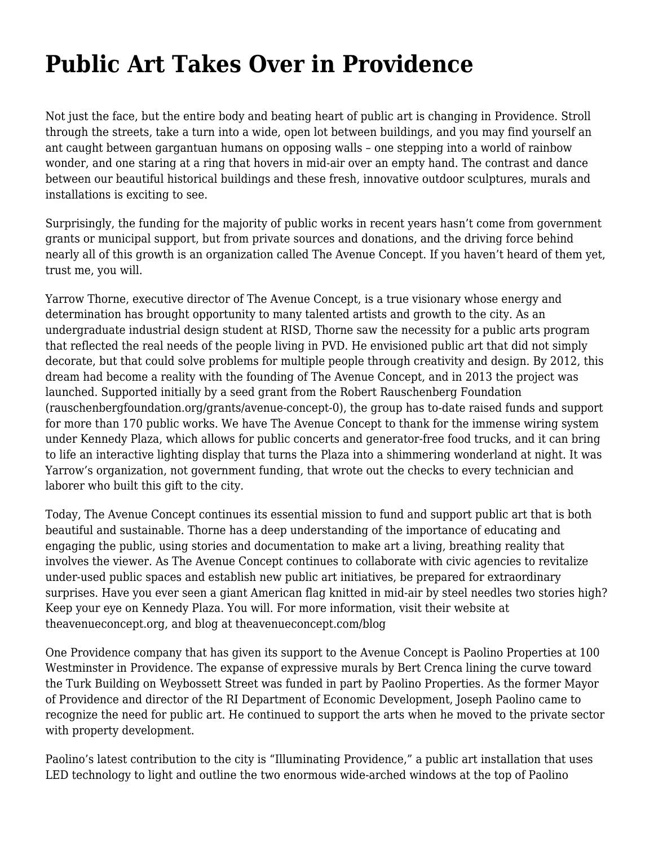## **[Public Art Takes Over in Providence](https://motifri.com/public-art/)**

Not just the face, but the entire body and beating heart of public art is changing in Providence. Stroll through the streets, take a turn into a wide, open lot between buildings, and you may find yourself an ant caught between gargantuan humans on opposing walls – one stepping into a world of rainbow wonder, and one staring at a ring that hovers in mid-air over an empty hand. The contrast and dance between our beautiful historical buildings and these fresh, innovative outdoor sculptures, murals and installations is exciting to see.

Surprisingly, the funding for the majority of public works in recent years hasn't come from government grants or municipal support, but from private sources and donations, and the driving force behind nearly all of this growth is an organization called The Avenue Concept. If you haven't heard of them yet, trust me, you will.

Yarrow Thorne, executive director of The Avenue Concept, is a true visionary whose energy and determination has brought opportunity to many talented artists and growth to the city. As an undergraduate industrial design student at RISD, Thorne saw the necessity for a public arts program that reflected the real needs of the people living in PVD. He envisioned public art that did not simply decorate, but that could solve problems for multiple people through creativity and design. By 2012, this dream had become a reality with the founding of The Avenue Concept, and in 2013 the project was launched. Supported initially by a seed grant from the Robert Rauschenberg Foundation (rauschenbergfoundation.org/grants/avenue-concept-0), the group has to-date raised funds and support for more than 170 public works. We have The Avenue Concept to thank for the immense wiring system under Kennedy Plaza, which allows for public concerts and generator-free food trucks, and it can bring to life an interactive lighting display that turns the Plaza into a shimmering wonderland at night. It was Yarrow's organization, not government funding, that wrote out the checks to every technician and laborer who built this gift to the city.

Today, The Avenue Concept continues its essential mission to fund and support public art that is both beautiful and sustainable. Thorne has a deep understanding of the importance of educating and engaging the public, using stories and documentation to make art a living, breathing reality that involves the viewer. As The Avenue Concept continues to collaborate with civic agencies to revitalize under-used public spaces and establish new public art initiatives, be prepared for extraordinary surprises. Have you ever seen a giant American flag knitted in mid-air by steel needles two stories high? Keep your eye on Kennedy Plaza. You will. For more information, visit their website at theavenueconcept.org, and blog at theavenueconcept.com/blog

One Providence company that has given its support to the Avenue Concept is Paolino Properties at 100 Westminster in Providence. The expanse of expressive murals by Bert Crenca lining the curve toward the Turk Building on Weybossett Street was funded in part by Paolino Properties. As the former Mayor of Providence and director of the RI Department of Economic Development, Joseph Paolino came to recognize the need for public art. He continued to support the arts when he moved to the private sector with property development.

Paolino's latest contribution to the city is "Illuminating Providence," a public art installation that uses LED technology to light and outline the two enormous wide-arched windows at the top of Paolino